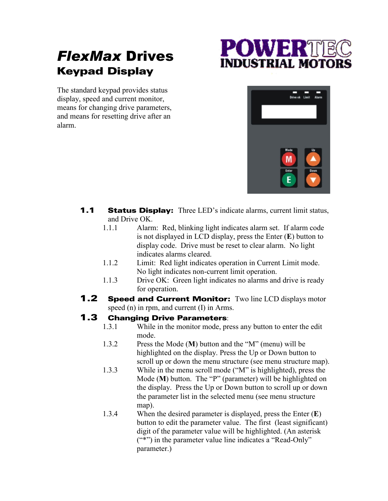## *FlexMax* Drives Keypad Display

## **POWER** INDUSTRIAL MOTO

The standard keypad provides status display, speed and current monitor, means for changing drive parameters, and means for resetting drive after an alarm.



- **1.1 Status Display:** Three LED's indicate alarms, current limit status, and Drive OK.
	- 1.1.1 Alarm: Red, blinking light indicates alarm set. If alarm code is not displayed in LCD display, press the Enter (**E**) button to display code. Drive must be reset to clear alarm. No light indicates alarms cleared.
	- 1.1.2 Limit: Red light indicates operation in Current Limit mode. No light indicates non-current limit operation.
	- 1.1.3 Drive OK: Green light indicates no alarms and drive is ready for operation.
- **1.2 Speed and Current Monitor:** Two line LCD displays motor speed (n) in rpm, and current (I) in Arms.

- **1.3 Changing Drive Parameters:** 1.3.1 While in the monitor mode, press any button to enter the edit mode.
	- 1.3.2 Press the Mode (**M**) button and the "M" (menu) will be highlighted on the display. Press the Up or Down button to scroll up or down the menu structure (see menu structure map).
	- 1.3.3 While in the menu scroll mode ("M" is highlighted), press the Mode (**M**) button. The "P" (parameter) will be highlighted on the display. Press the Up or Down button to scroll up or down the parameter list in the selected menu (see menu structure map).
	- 1.3.4 When the desired parameter is displayed, press the Enter (**E**) button to edit the parameter value. The first (least significant) digit of the parameter value will be highlighted. (An asterisk ("\*") in the parameter value line indicates a "Read-Only" parameter.)